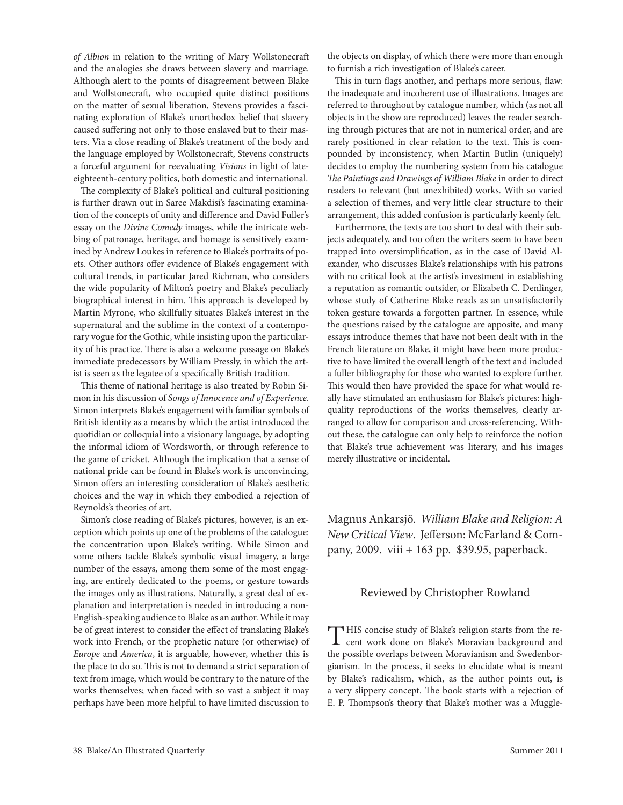*of Albion* in relation to the writing of Mary Wollstonecraft and the analogies she draws between slavery and marriage. Although alert to the points of disagreement between Blake and Wollstonecraft, who occupied quite distinct positions on the matter of sexual liberation, Stevens provides a fascinating exploration of Blake's unorthodox belief that slavery caused suffering not only to those enslaved but to their masters. Via a close reading of Blake's treatment of the body and the language employed by Wollstonecraft, Stevens constructs a forceful argument for reevaluating *Visions* in light of lateeighteenth-century politics, both domestic and international.

The complexity of Blake's political and cultural positioning is further drawn out in Saree Makdisi's fascinating examination of the concepts of unity and difference and David Fuller's essay on the *Divine Comedy* images, while the intricate webbing of patronage, heritage, and homage is sensitively examined by Andrew Loukes in reference to Blake's portraits of poets. Other authors offer evidence of Blake's engagement with cultural trends, in particular Jared Richman, who considers the wide popularity of Milton's poetry and Blake's peculiarly biographical interest in him. This approach is developed by Martin Myrone, who skillfully situates Blake's interest in the supernatural and the sublime in the context of a contemporary vogue for the Gothic, while insisting upon the particularity of his practice. There is also a welcome passage on Blake's immediate predecessors by William Pressly, in which the artist is seen as the legatee of a specifically British tradition.

This theme of national heritage is also treated by Robin Simon in his discussion of *Songs of Innocence and of Experience*. Simon interprets Blake's engagement with familiar symbols of British identity as a means by which the artist introduced the quotidian or colloquial into a visionary language, by adopting the informal idiom of Wordsworth, or through reference to the game of cricket. Although the implication that a sense of national pride can be found in Blake's work is unconvincing, Simon offers an interesting consideration of Blake's aesthetic choices and the way in which they embodied a rejection of Reynolds's theories of art.

Simon's close reading of Blake's pictures, however, is an exception which points up one of the problems of the catalogue: the concentration upon Blake's writing. While Simon and some others tackle Blake's symbolic visual imagery, a large number of the essays, among them some of the most engaging, are entirely dedicated to the poems, or gesture towards the images only as illustrations. Naturally, a great deal of explanation and interpretation is needed in introducing a non-English-speaking audience to Blake as an author. While it may be of great interest to consider the effect of translating Blake's work into French, or the prophetic nature (or otherwise) of *Europe* and *America*, it is arguable, however, whether this is the place to do so. This is not to demand a strict separation of text from image, which would be contrary to the nature of the works themselves; when faced with so vast a subject it may perhaps have been more helpful to have limited discussion to

the objects on display, of which there were more than enough to furnish a rich investigation of Blake's career.

This in turn flags another, and perhaps more serious, flaw: the inadequate and incoherent use of illustrations. Images are referred to throughout by catalogue number, which (as not all objects in the show are reproduced) leaves the reader searching through pictures that are not in numerical order, and are rarely positioned in clear relation to the text. This is compounded by inconsistency, when Martin Butlin (uniquely) decides to employ the numbering system from his catalogue *The Paintings and Drawings of William Blake* in order to direct readers to relevant (but unexhibited) works. With so varied a selection of themes, and very little clear structure to their arrangement, this added confusion is particularly keenly felt.

Furthermore, the texts are too short to deal with their subjects adequately, and too often the writers seem to have been trapped into oversimplification, as in the case of David Alexander, who discusses Blake's relationships with his patrons with no critical look at the artist's investment in establishing a reputation as romantic outsider, or Elizabeth C. Denlinger, whose study of Catherine Blake reads as an unsatisfactorily token gesture towards a forgotten partner. In essence, while the questions raised by the catalogue are apposite, and many essays introduce themes that have not been dealt with in the French literature on Blake, it might have been more productive to have limited the overall length of the text and included a fuller bibliography for those who wanted to explore further. This would then have provided the space for what would really have stimulated an enthusiasm for Blake's pictures: highquality reproductions of the works themselves, clearly arranged to allow for comparison and cross-referencing. Without these, the catalogue can only help to reinforce the notion that Blake's true achievement was literary, and his images merely illustrative or incidental.

Magnus Ankarsjö. *William Blake and Religion: A New Critical View*. Jefferson: McFarland & Company, 2009. viii + 163 pp. \$39.95, paperback.

## Reviewed by Christopher Rowland

THIS concise study of Blake's religion starts from the re-<br>
cent work done on Blake's Moravian background and the possible overlaps between Moravianism and Swedenborgianism. In the process, it seeks to elucidate what is meant by Blake's radicalism, which, as the author points out, is a very slippery concept. The book starts with a rejection of E. P. Thompson's theory that Blake's mother was a Muggle-